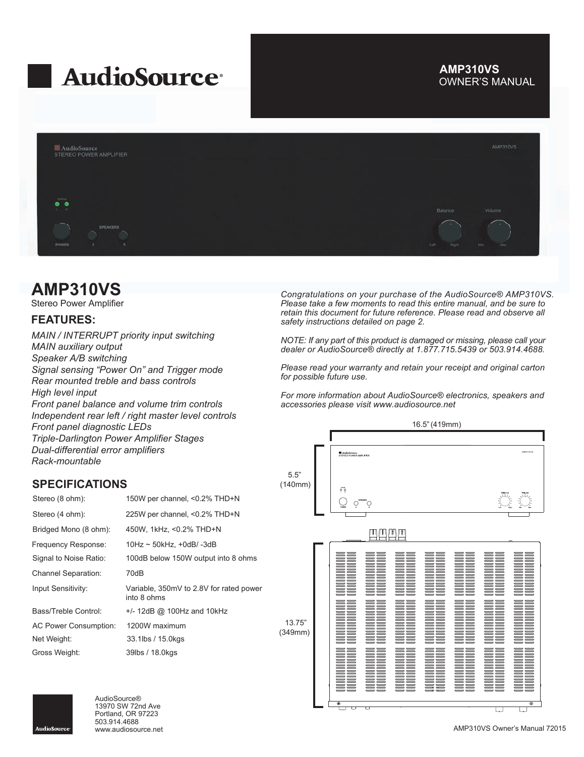# **AudioSource**

# OWNER'S MANUAL **AMP310VS**



# **AMP310VS**

Stereo Power Amplifier

# **FEATURES:**

*MAIN / INTERRUPT priority input switching MAIN auxiliary output Speaker A/B switching Signal sensing "Power On" and Trigger mode Rear mounted treble and bass controls High level input Front panel balance and volume trim controls Independent rear left / right master level controls Front panel diagnostic LEDs Triple-Darlington Power Amplifier Stages Dual-differential error amplifiers*

*Rack-mountable*

# **SPECIFICATIONS**

| Stereo (8 ohm):              | 150W per channel, <0.2% THD+N                          |
|------------------------------|--------------------------------------------------------|
| Stereo (4 ohm):              | 225W per channel, <0.2% THD+N                          |
| Bridged Mono (8 ohm):        | 450W, 1kHz, <0.2% THD+N                                |
| Frequency Response:          | $10$ Hz ~ 50kHz, +0dB/-3dB                             |
| Signal to Noise Ratio:       | 100dB below 150W output into 8 ohms                    |
| <b>Channel Separation:</b>   | 70dB                                                   |
| Input Sensitivity:           | Variable, 350mV to 2.8V for rated power<br>into 8 ohms |
| Bass/Treble Control:         | $+/- 12dB$ @ 100Hz and 10kHz                           |
| <b>AC Power Consumption:</b> | 1200W maximum                                          |
| Net Weight:                  | 33.1lbs / 15.0kgs                                      |
| Gross Weight:                | 39lbs / 18.0kgs                                        |

*Congratulations on your purchase of the AudioSource® AMP310VS. Please take a few moments to read this entire manual, and be sure to retain this document for future reference. Please read and observe all safety instructions detailed on page 2.*

*NOTE: If any part of this product is damaged or missing, please call your dealer or AudioSource® directly at 1.877.715.5439 or 503.914.4688.*

*Please read your warranty and retain your receipt and original carton for possible future use.*

*For more information about AudioSource® electronics, speakers and accessories please visit www.audiosource.net*





AudioSource® 13970 SW 72nd Ave Portland, OR 97223 503.914.4688

AMP310VS Owner's Manual 72015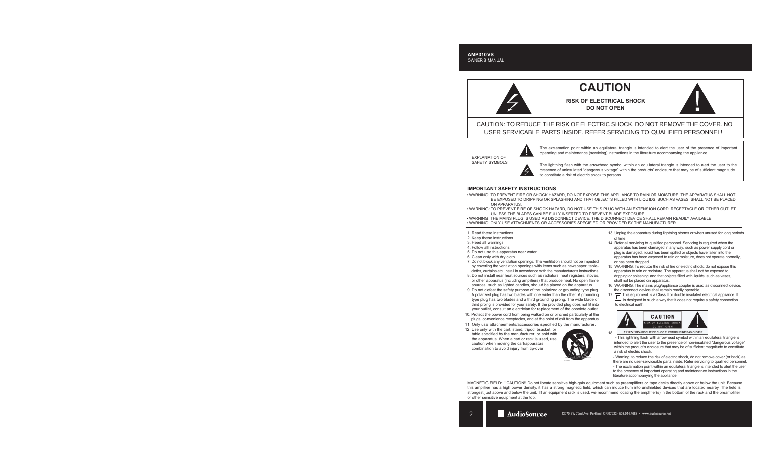# **CAUTION**

**RISK OF ELECTRICAL SHOCK DO NOT OPEN**



CAUTION: TO REDUCE THE RISK OF ELECTRIC SHOCK, DO NOT REMOVE THE COVER. NO USER SERVICABLE PARTS INSIDE. REFER SERVICING TO QUALIFIED PERSONNEL!

EXPLANATION OF SAFETY SYMBOLS



The exclamation point within an equilateral triangle is intended to alert the user of the presence of important operating and maintenance (servicing) instructions in the literature accompanying the appliance.

The lightning flash with the arrowhead symbol within an equilateral triangle is intended to alert the user to the presence of uninsulated "dangerous voltage" within the products' enclosure that may be of sufficient magnitude to constitute a risk of electric shock to persons.

#### **IMPORTANT SAFETY INSTRUCTIONS**

- WARNING: TO PREVENT FIRE OR SHOCK HAZARD, DO NOT EXPOSE THIS APPLIANCE TO RAIN OR MOISTURE. THE APPARATUS SHALL NOT BE EXPOSED TO DRIPPING OR SPLASHING AND THAT OBJECTS FILLED WITH LIQUIDS, SUCH AS VASES, SHALL NOT BE PLACED ON APPARATUS.
- WARNING: TO PREVENT FIRE OF SHOCK HAZARD, DO NOT USE THIS PLUG WITH AN EXTENSION CORD, RECEPTACLE OR OTHER OUTLET UNLESS THE BLADES CAN BE FULLY INSERTED TO PREVENT BLADE EXPOSURE.
- WARNING: THE MAINS PLUG IS USED AS DISCONNECT DEVICE. THE DISCONNECT DEVICE SHALL REMAIN READILY AVAILABLE.
- WARNING: ONLY USE ATTACHMENTS OR ACCESSORIES SPECIFIED OR PROVIDED BY THE MANUFACTURER.
- 1. Read these instructions.
- 2. Keep these instructions.
- 3. Heed all warnings.
- 4. Follow all instructions.
- 5. Do not use this apparatus near water.
- 6. Clean only with dry cloth.
- 7. Do not block any ventilation openings. The ventilation should not be impeded by covering the ventilation openings with items such as newspaper, table cloths, curtains etc. Install in accordance with the manufacturer's instructions.
- 8. Do not install near heat sources such as radiators, heat registers, stoves, or other apparatus (including amplifiers) that produce heat. No open flame sources, such as lighted candles, should be placed on the apparatus.
- 9. Do not defeat the safety purpose of the polarized or grounding type plug. A polarized plug has two blades with one wider than the other. A grounding type plug has two blades and a third grounding prong. The wide blade or third prong is provided for your safety. If the provided plug does not fit into your outlet, consult an electrician for replacement of the obsolete outlet.
- 10. Protect the power cord from being walked on or pinched particularly at the plugs, convenience receptacles, and at the point of exit from the apparatus.
- 11. Only use attacheements/accessories specified by the manufacturer.
- 12. Use only with the cart, stand, tripod, bracket, or table specified by the manufacturer, or sold with the apparatus. When a cart or rack is used, use caution when moving the cart/apparatus combination to avoid injury from tip-over.



- 13. Unplug the apparatus during lightning storms or when unused for long periods of time.
- 14. Refer all servicing to qualified personnel. Servicing is required when the apparatus has been damaged in any way, such as power supply cord or plug is damaged, liquid has been spilled or objects have fallen into the apparatus has been exposed to rain or moisture, does not operate normally, or has been dropped.
- 15. WARNING: To reduce the risk of fire or electric shock, do not expose this apparatus to rain or moisture. The apparatus shall not be exposed to dripping or splashing and that objects filled with liquids, such as vases, shall not be placed on apparatus.
- 16. WARNING: The mains plug/appliance coupler is used as disconnect device, the disconnect device shall remain readily operable.
- 17. This equipment is a Class II or double insulated electrical appliance. It is designed in such a way that it does not require a safety connection to electrical earth.



ATTENTION: RISQUE DE CHOC ELECTRIQUE-NE PAS OUVRIR 18.

 - This lightning flash with arrowhead symbol within an equilateral triangle is intended to alert the user to the presence of non-insulated "dangerous voltage" within the product's enclosure that may be of sufficient magnitude to constitute a risk of electric shock.

 - Warning: to reduce the risk of electric shock, do not remove cover (or back) as there are no user-serviceable parts inside. Refer servicing to qualified personnel. - The exclamation point within an equilateral triangle is intended to alert the user

 to the presence of important operating and maintenance instructions in the literature accompanying the appliance.

MAGNETIC FIELD: !!CAUTION!! Do not locate sensitive high-gain equipment such as preamplifiers or tape decks directly above or below the unit. Because this amplifier has a high power density, it has a strong magnetic field, which can induce hum into unshielded devices that are located nearby. The field is strongest just above and below the unit. If an equipment rack is used, we recommend locating the amplifier(s) in the bottom of the rack and the preamplifier or other sensitive equipment at the top.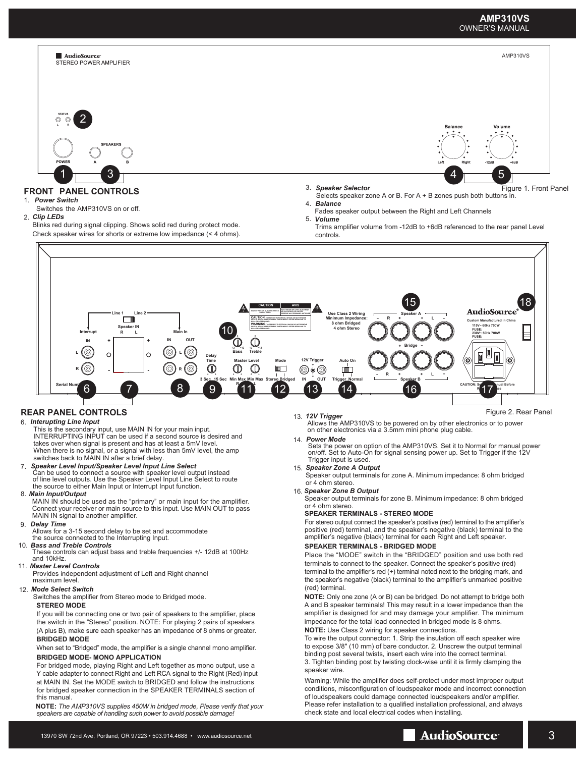

speaker wire.

For bridged mode, playing Right and Left together as mono output, use a Y cable adapter to connect Right and Left RCA signal to the Right (Red) input at MAIN IN. Set the MODE switch to BRIDGED and follow the instructions for bridged speaker connection in the SPEAKER TERMINALS section of this manual.

**NOTE:** *The AMP310VS supplies 450W in bridged mode, Please verify that your speakers are capable of handling such power to avoid possible damage!*

13970 SW 72nd Ave, Portland, OR 97223 • 503.914.4688 • www.audiosource.net 3

Warning: While the amplifier does self-protect under most improper output conditions, misconfiguration of loudspeaker mode and incorrect connection of loudspeakers could damage connected loudspeakers and/or amplifier. Please refer installation to a qualified installation professional, and always

check state and local electrical codes when installing.